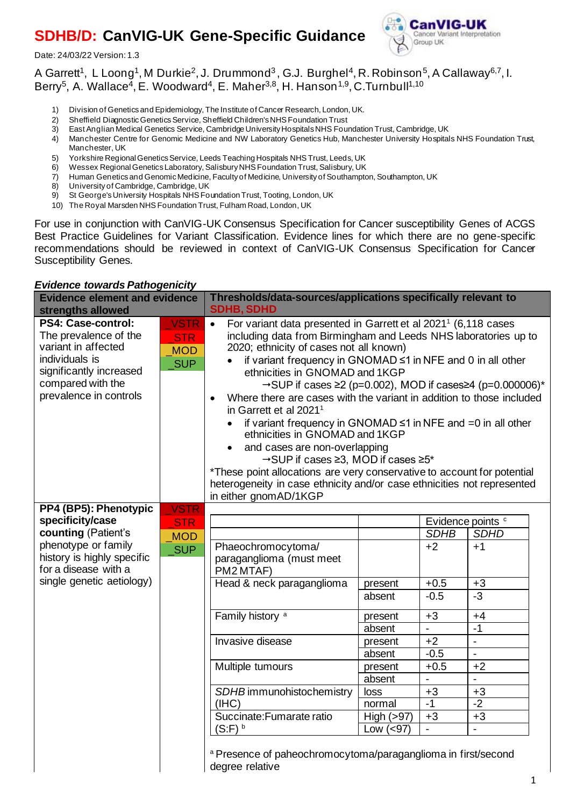# **SDHB/D: CanVIG-UK Gene-Specific Guidance**

Date: 24/03/22 Version: 1.3



## A Garrett<sup>1</sup>, L Loong<sup>1</sup>, M Durkie<sup>2</sup>, J. Drummond<sup>3</sup>, G.J. Burghel<sup>4</sup>, R. Robinson<sup>5</sup>, A Callaway<sup>6,7</sup>, I. Berry<sup>5</sup>, A. Wallace<sup>4</sup>, E. Woodward<sup>4</sup>, E. Maher<sup>3,8</sup>, H. Hanson<sup>1,9</sup>, C.Turnbull<sup>1,10</sup>

- 1) Division of Genetics and Epidemiology, The Institute of Cancer Research, London, UK.
- 2) Sheffield Diagnostic Genetics Service, Sheffield Children's NHS Foundation Trust<br>3) East Anglian Medical Genetics Service, Cambridge University Hospitals NHS Four
- 3) East Anglian Medical Genetics Service, Cambridge University Hospitals NHS Foundation Trust, Cambridge, UK
- 4) Manchester Centre for Genomic Medicine and NW Laboratory Genetics Hub, Manchester University Hospitals NHS Foundation Trust, Manchester, UK
- 5) Yorkshire Regional Genetics Service, Leeds Teaching Hospitals NHS Trust, Leeds, UK
- 6) Wessex Regional Genetics Laboratory, Salisbury NHS Foundation Trust, Salisbury, UK
- 7) Human Genetics and Genomic Medicine, Faculty of Medicine, University of Southampton, Southampton, UK
- 8) University of Cambridge, Cambridge, UK<br>9) St George's University Hospitals NHS For
- St George's University Hospitals NHS Foundation Trust, Tooting, London, UK
- 10) The Royal Marsden NHS Foundation Trust, Fulham Road, London, UK

For use in conjunction with CanVIG-UK Consensus Specification for Cancer susceptibility Genes of ACGS Best Practice Guidelines for Variant Classification. Evidence lines for which there are no gene-specific recommendations should be reviewed in context of CanVIG-UK Consensus Specification for Cancer Susceptibility Genes.

#### *Evidence towards Pathogenicity*

| <b>Evidence element and evidence</b><br>strengths allowed                                                                                                                  |                                                       | Thresholds/data-sources/applications specifically relevant to<br><b>SDHB, SDHD</b>                                                                                                                                                                                                                                                                                                                                                                                                                                                                                                                                                                                                                                                                                                                                                                                                           |                                                                                                                                  |                                                                                                                       |                                                                                                                                                                                    |  |
|----------------------------------------------------------------------------------------------------------------------------------------------------------------------------|-------------------------------------------------------|----------------------------------------------------------------------------------------------------------------------------------------------------------------------------------------------------------------------------------------------------------------------------------------------------------------------------------------------------------------------------------------------------------------------------------------------------------------------------------------------------------------------------------------------------------------------------------------------------------------------------------------------------------------------------------------------------------------------------------------------------------------------------------------------------------------------------------------------------------------------------------------------|----------------------------------------------------------------------------------------------------------------------------------|-----------------------------------------------------------------------------------------------------------------------|------------------------------------------------------------------------------------------------------------------------------------------------------------------------------------|--|
| <b>PS4: Case-control:</b><br>The prevalence of the<br>variant in affected<br>individuals is<br>significantly increased<br>compared with the<br>prevalence in controls      | <b>VSTR</b><br><b>STR</b><br><b>MOD</b><br><b>SUP</b> | For variant data presented in Garrett et al 2021 <sup>1</sup> (6,118 cases<br>$\bullet$<br>including data from Birmingham and Leeds NHS laboratories up to<br>2020; ethnicity of cases not all known)<br>if variant frequency in GNOMAD $\leq$ 1 in NFE and 0 in all other<br>ethnicities in GNOMAD and 1KGP<br>$\rightarrow$ SUP if cases $\geq$ (p=0.002), MOD if cases $\geq$ 4 (p=0.000006)*<br>Where there are cases with the variant in addition to those included<br>in Garrett et al 2021 <sup>1</sup><br>if variant frequency in GNOMAD $\leq 1$ in NFE and $= 0$ in all other<br>ethnicities in GNOMAD and 1KGP<br>and cases are non-overlapping<br>$\bullet$<br>→SUP if cases ≥3, MOD if cases ≥5*<br>*These point allocations are very conservative to account for potential<br>heterogeneity in case ethnicity and/or case ethnicities not represented<br>in either gnomAD/1KGP |                                                                                                                                  |                                                                                                                       |                                                                                                                                                                                    |  |
| PP4 (BP5): Phenotypic<br>specificity/case<br>counting (Patient's<br>phenotype or family<br>history is highly specific<br>for a disease with a<br>single genetic aetiology) | <b>VSTR</b><br><b>STR</b><br><b>MOD</b><br><b>SUP</b> | Phaeochromocytoma/<br>paraganglioma (must meet<br>PM2 MTAF)<br>Head & neck paraganglioma<br>Family history <sup>a</sup><br>Invasive disease<br>Multiple tumours<br>SDHB immunohistochemistry<br>(IHC)<br>Succinate: Fumarate ratio<br>$(S:F)$ <sup>b</sup><br>a Presence of paheochromocytoma/paraganglioma in first/second<br>degree relative                                                                                                                                                                                                                                                                                                                                                                                                                                                                                                                                               | present<br>absent<br>present<br>absent<br>present<br>absent<br>present<br>absent<br>loss<br>normal<br>High $(>97)$<br>Low $(97)$ | <b>SDHB</b><br>$+2$<br>$+0.5$<br>$-0.5$<br>$+3$<br>$\overline{a}$<br>$+2$<br>$-0.5$<br>$+0.5$<br>$+3$<br>$-1$<br>$+3$ | Evidence points c<br><b>SDHD</b><br>$+1$<br>$+3$<br>$-3$<br>$+4$<br>$-1$<br>$\blacksquare$<br>$\qquad \qquad \blacksquare$<br>$+2$<br>L,<br>$+3$<br>$-2$<br>$+3$<br>$\overline{a}$ |  |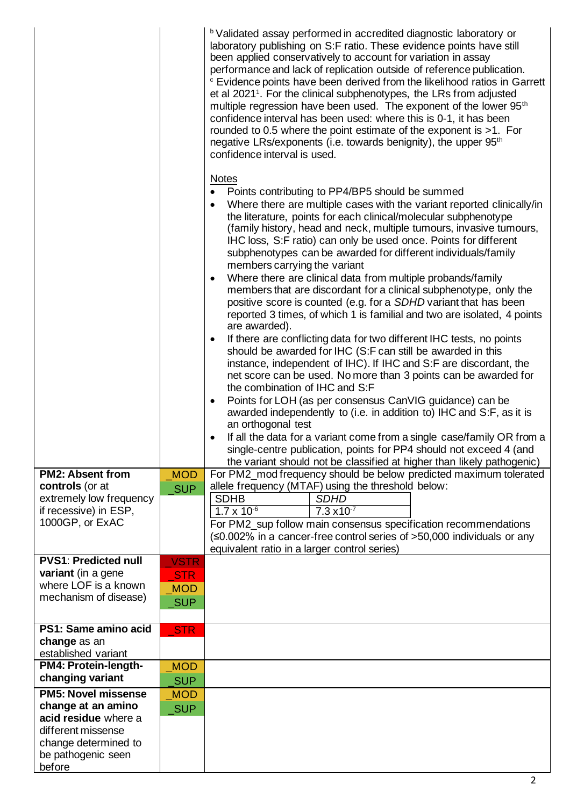|                                                                                                                   |                                                       | <b>b</b> Validated assay performed in accredited diagnostic laboratory or<br>laboratory publishing on S:F ratio. These evidence points have still<br>been applied conservatively to account for variation in assay<br>performance and lack of replication outside of reference publication.<br><sup>c</sup> Evidence points have been derived from the likelihood ratios in Garrett<br>et al 2021 <sup>1</sup> . For the clinical subphenotypes, the LRs from adjusted<br>multiple regression have been used. The exponent of the lower 95 <sup>th</sup><br>confidence interval has been used: where this is 0-1, it has been<br>rounded to 0.5 where the point estimate of the exponent is $>1$ . For<br>negative LRs/exponents (i.e. towards benignity), the upper 95 <sup>th</sup><br>confidence interval is used.                                                                                                                                                                                                                                                                                                                                                                                                                                                                                                                                                                                                                                                                                                                                                                                                                                                                                                                                                                                                                                                              |
|-------------------------------------------------------------------------------------------------------------------|-------------------------------------------------------|------------------------------------------------------------------------------------------------------------------------------------------------------------------------------------------------------------------------------------------------------------------------------------------------------------------------------------------------------------------------------------------------------------------------------------------------------------------------------------------------------------------------------------------------------------------------------------------------------------------------------------------------------------------------------------------------------------------------------------------------------------------------------------------------------------------------------------------------------------------------------------------------------------------------------------------------------------------------------------------------------------------------------------------------------------------------------------------------------------------------------------------------------------------------------------------------------------------------------------------------------------------------------------------------------------------------------------------------------------------------------------------------------------------------------------------------------------------------------------------------------------------------------------------------------------------------------------------------------------------------------------------------------------------------------------------------------------------------------------------------------------------------------------------------------------------------------------------------------------------------------------|
| <b>PM2: Absent from</b><br>controls (or at<br>extremely low frequency<br>if recessive) in ESP,<br>1000GP, or ExAC | <b>MOD</b><br><b>SUP</b>                              | <b>Notes</b><br>Points contributing to PP4/BP5 should be summed<br>$\bullet$<br>Where there are multiple cases with the variant reported clinically/in<br>$\bullet$<br>the literature, points for each clinical/molecular subphenotype<br>(family history, head and neck, multiple tumours, invasive tumours,<br>IHC loss, S:F ratio) can only be used once. Points for different<br>subphenotypes can be awarded for different individuals/family<br>members carrying the variant<br>Where there are clinical data from multiple probands/family<br>members that are discordant for a clinical subphenotype, only the<br>positive score is counted (e.g. for a SDHD variant that has been<br>reported 3 times, of which 1 is familial and two are isolated, 4 points<br>are awarded).<br>If there are conflicting data for two different IHC tests, no points<br>$\bullet$<br>should be awarded for IHC (S:F can still be awarded in this<br>instance, independent of IHC). If IHC and S:F are discordant, the<br>net score can be used. No more than 3 points can be awarded for<br>the combination of IHC and S:F<br>Points for LOH (as per consensus CanVIG guidance) can be<br>$\bullet$<br>awarded independently to (i.e. in addition to) IHC and S:F, as it is<br>an orthogonal test<br>If all the data for a variant come from a single case/family OR from a<br>single-centre publication, points for PP4 should not exceed 4 (and<br>the variant should not be classified at higher than likely pathogenic)<br>For PM2_mod frequency should be below predicted maximum tolerated<br>allele frequency (MTAF) using the threshold below:<br><b>SDHB</b><br><b>SDHD</b><br>$1.7 \times 10^{-6}$<br>$7.3 \times 10^{-7}$<br>For PM2_sup follow main consensus specification recommendations<br>$(\leq 0.002\%$ in a cancer-free control series of >50,000 individuals or any |
| <b>PVS1: Predicted null</b>                                                                                       |                                                       | equivalent ratio in a larger control series)                                                                                                                                                                                                                                                                                                                                                                                                                                                                                                                                                                                                                                                                                                                                                                                                                                                                                                                                                                                                                                                                                                                                                                                                                                                                                                                                                                                                                                                                                                                                                                                                                                                                                                                                                                                                                                       |
| variant (in a gene<br>where LOF is a known<br>mechanism of disease)                                               | <b>VSTR</b><br><b>STR</b><br><b>MOD</b><br><b>SUP</b> |                                                                                                                                                                                                                                                                                                                                                                                                                                                                                                                                                                                                                                                                                                                                                                                                                                                                                                                                                                                                                                                                                                                                                                                                                                                                                                                                                                                                                                                                                                                                                                                                                                                                                                                                                                                                                                                                                    |
| PS1: Same amino acid<br>change as an                                                                              | <b>STR</b>                                            |                                                                                                                                                                                                                                                                                                                                                                                                                                                                                                                                                                                                                                                                                                                                                                                                                                                                                                                                                                                                                                                                                                                                                                                                                                                                                                                                                                                                                                                                                                                                                                                                                                                                                                                                                                                                                                                                                    |
| established variant                                                                                               |                                                       |                                                                                                                                                                                                                                                                                                                                                                                                                                                                                                                                                                                                                                                                                                                                                                                                                                                                                                                                                                                                                                                                                                                                                                                                                                                                                                                                                                                                                                                                                                                                                                                                                                                                                                                                                                                                                                                                                    |
| PM4: Protein-length-<br>changing variant                                                                          | <b>MOD</b><br><b>SUP</b>                              |                                                                                                                                                                                                                                                                                                                                                                                                                                                                                                                                                                                                                                                                                                                                                                                                                                                                                                                                                                                                                                                                                                                                                                                                                                                                                                                                                                                                                                                                                                                                                                                                                                                                                                                                                                                                                                                                                    |
| <b>PM5: Novel missense</b><br>change at an amino                                                                  | <b>MOD</b>                                            |                                                                                                                                                                                                                                                                                                                                                                                                                                                                                                                                                                                                                                                                                                                                                                                                                                                                                                                                                                                                                                                                                                                                                                                                                                                                                                                                                                                                                                                                                                                                                                                                                                                                                                                                                                                                                                                                                    |
| acid residue where a<br>different missense<br>change determined to<br>be pathogenic seen<br>before                | <b>SUP</b>                                            |                                                                                                                                                                                                                                                                                                                                                                                                                                                                                                                                                                                                                                                                                                                                                                                                                                                                                                                                                                                                                                                                                                                                                                                                                                                                                                                                                                                                                                                                                                                                                                                                                                                                                                                                                                                                                                                                                    |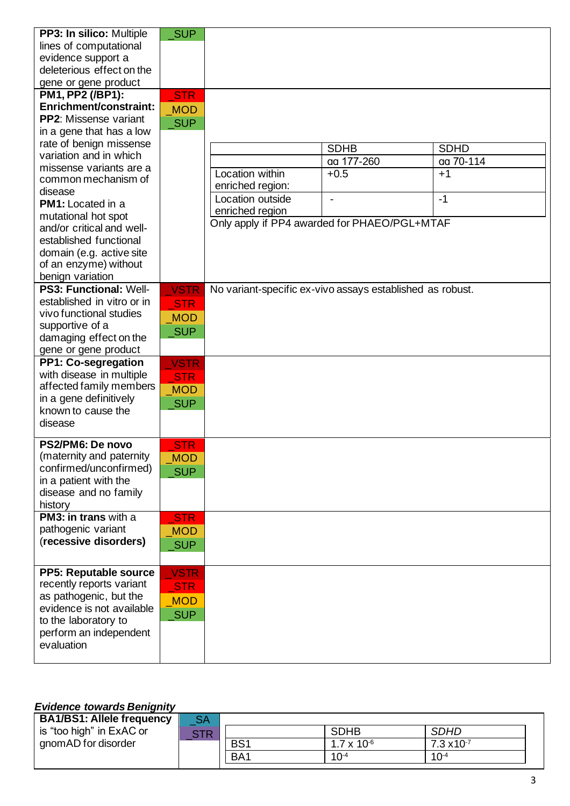| PP3: In silico: Multiple             | <b>SUP</b>  |                                                           |             |             |
|--------------------------------------|-------------|-----------------------------------------------------------|-------------|-------------|
| lines of computational               |             |                                                           |             |             |
| evidence support a                   |             |                                                           |             |             |
| deleterious effect on the            |             |                                                           |             |             |
| gene or gene product                 |             |                                                           |             |             |
| PM1, PP2 (/BP1):                     | <b>STR</b>  |                                                           |             |             |
| Enrichment/constraint:               | <b>MOD</b>  |                                                           |             |             |
| <b>PP2:</b> Missense variant         | <b>SUP</b>  |                                                           |             |             |
| in a gene that has a low             |             |                                                           |             |             |
| rate of benign missense              |             |                                                           |             |             |
| variation and in which               |             |                                                           | <b>SDHB</b> | <b>SDHD</b> |
| missense variants are a              |             |                                                           | aa 177-260  | aa 70-114   |
| common mechanism of                  |             | Location within                                           | $+0.5$      | $+1$        |
| disease                              |             | enriched region:                                          |             |             |
| <b>PM1:</b> Located in a             |             | Location outside                                          |             | $-1$        |
| mutational hot spot                  |             | enriched region                                           |             |             |
| and/or critical and well-            |             | Only apply if PP4 awarded for PHAEO/PGL+MTAF              |             |             |
| established functional               |             |                                                           |             |             |
| domain (e.g. active site             |             |                                                           |             |             |
| of an enzyme) without                |             |                                                           |             |             |
| benign variation                     |             |                                                           |             |             |
| <b>PS3: Functional: Well-</b>        | <b>VSTR</b> | No variant-specific ex-vivo assays established as robust. |             |             |
| established in vitro or in           | <b>STR</b>  |                                                           |             |             |
| vivo functional studies              |             |                                                           |             |             |
| supportive of a                      | <b>MOD</b>  |                                                           |             |             |
| damaging effect on the               | <b>SUP</b>  |                                                           |             |             |
| gene or gene product                 |             |                                                           |             |             |
| <b>PP1: Co-segregation</b>           | <b>VSTR</b> |                                                           |             |             |
| with disease in multiple             | <b>STR</b>  |                                                           |             |             |
| affected family members              | <b>MOD</b>  |                                                           |             |             |
| in a gene definitively               |             |                                                           |             |             |
| known to cause the                   | <b>SUP</b>  |                                                           |             |             |
| disease                              |             |                                                           |             |             |
|                                      |             |                                                           |             |             |
| PS2/PM6: De novo                     | <b>STR</b>  |                                                           |             |             |
| (maternity and paternity             | <b>MOD</b>  |                                                           |             |             |
| confirmed/unconfirmed)               | <b>SUP</b>  |                                                           |             |             |
| in a patient with the                |             |                                                           |             |             |
| disease and no family                |             |                                                           |             |             |
| history                              |             |                                                           |             |             |
| PM3: in trans with a                 | <b>STR</b>  |                                                           |             |             |
| pathogenic variant                   | <b>MOD</b>  |                                                           |             |             |
| (recessive disorders)                | <b>SUP</b>  |                                                           |             |             |
|                                      |             |                                                           |             |             |
| PP5: Reputable source                | <b>VSTR</b> |                                                           |             |             |
| recently reports variant             |             |                                                           |             |             |
| as pathogenic, but the               | <b>STR</b>  |                                                           |             |             |
| evidence is not available            | <b>MOD</b>  |                                                           |             |             |
| to the laboratory to                 | <b>SUP</b>  |                                                           |             |             |
|                                      |             |                                                           |             |             |
| perform an independent<br>evaluation |             |                                                           |             |             |
|                                      |             |                                                           |             |             |
|                                      |             |                                                           |             |             |

### *Evidence towards Benignity*

| <b>BA1/BS1: Allele frequency</b> | SA         |                 |                      |                      |
|----------------------------------|------------|-----------------|----------------------|----------------------|
| is "too high" in ExAC or         | <b>STR</b> |                 | <b>SDHB</b>          | <b>SDHD</b>          |
| gnomAD for disorder              |            | BS <sub>1</sub> | $1.7 \times 10^{-6}$ | $7.3 \times 10^{-7}$ |
|                                  |            | BA <sub>1</sub> | $10^{-4}$            | $10^{-4}$            |
|                                  |            |                 |                      |                      |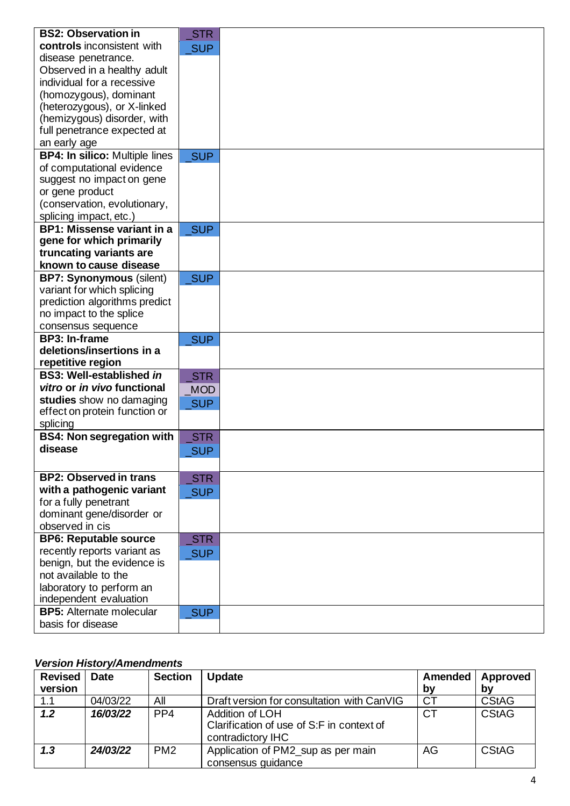| <b>BS2: Observation in</b>                                    | <b>STR</b> |  |
|---------------------------------------------------------------|------------|--|
| controls inconsistent with                                    | <b>SUP</b> |  |
| disease penetrance.                                           |            |  |
| Observed in a healthy adult                                   |            |  |
| individual for a recessive                                    |            |  |
| (homozygous), dominant                                        |            |  |
| (heterozygous), or X-linked                                   |            |  |
| (hemizygous) disorder, with                                   |            |  |
| full penetrance expected at                                   |            |  |
| an early age                                                  |            |  |
| <b>BP4: In silico: Multiple lines</b>                         | <b>SUP</b> |  |
| of computational evidence                                     |            |  |
| suggest no impact on gene                                     |            |  |
| or gene product                                               |            |  |
| (conservation, evolutionary,                                  |            |  |
| splicing impact, etc.)                                        |            |  |
| <b>BP1: Missense variant in a</b>                             | <b>SUP</b> |  |
| gene for which primarily                                      |            |  |
| truncating variants are<br>known to cause disease             |            |  |
|                                                               |            |  |
| <b>BP7: Synonymous (silent)</b><br>variant for which splicing | <b>SUP</b> |  |
| prediction algorithms predict                                 |            |  |
| no impact to the splice                                       |            |  |
| consensus sequence                                            |            |  |
| BP3: In-frame                                                 | SUP        |  |
| deletions/insertions in a                                     |            |  |
| repetitive region                                             |            |  |
| <b>BS3: Well-established in</b>                               | <b>STR</b> |  |
| vitro or in vivo functional                                   | <b>MOD</b> |  |
| studies show no damaging                                      | <b>SUP</b> |  |
| effect on protein function or                                 |            |  |
| splicing                                                      |            |  |
| <b>BS4: Non segregation with</b>                              | <b>STR</b> |  |
| disease                                                       | <b>SUP</b> |  |
|                                                               |            |  |
| <b>BP2: Observed in trans</b>                                 | <b>STR</b> |  |
| with a pathogenic variant                                     | SUP        |  |
| for a fully penetrant                                         |            |  |
| dominant gene/disorder or                                     |            |  |
| observed in cis                                               |            |  |
| <b>BP6: Reputable source</b>                                  | STR        |  |
| recently reports variant as                                   | <b>SUP</b> |  |
| benign, but the evidence is                                   |            |  |
| not available to the                                          |            |  |
| laboratory to perform an                                      |            |  |
| independent evaluation                                        |            |  |
| <b>BP5:</b> Alternate molecular                               | SUP        |  |
| basis for disease                                             |            |  |

## *Version History/Amendments*

| <b>Revised</b> | <b>Date</b> | <b>Section</b>  | <b>Update</b>                                                                     |    | Amended   Approved |
|----------------|-------------|-----------------|-----------------------------------------------------------------------------------|----|--------------------|
| version        |             |                 |                                                                                   | bv | by                 |
| 1.1            | 04/03/22    | All             | Draft version for consultation with CanVIG                                        | CT | <b>CStAG</b>       |
| 1.2            | 16/03/22    | PP4             | Addition of LOH<br>Clarification of use of S:F in context of<br>contradictory IHC | СT | <b>CStAG</b>       |
| 1.3            | 24/03/22    | PM <sub>2</sub> | Application of PM2_sup as per main<br>consensus guidance                          | AG | <b>CStAG</b>       |